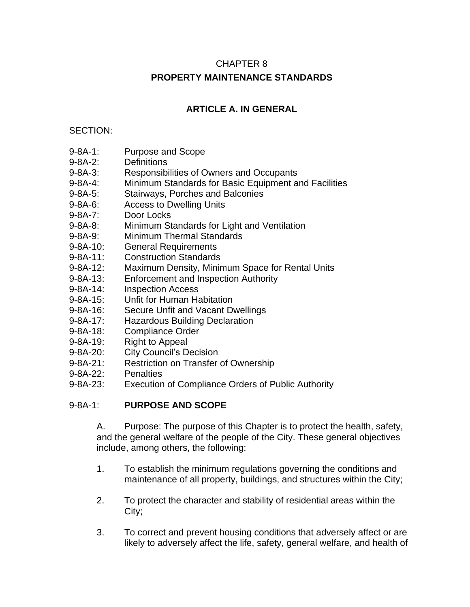# CHAPTER 8 **PROPERTY MAINTENANCE STANDARDS**

# **ARTICLE A. IN GENERAL**

#### SECTION:

- 9-8A-1: Purpose and Scope
- 9-8A-2: Definitions
- 9-8A-3: Responsibilities of Owners and Occupants
- 9-8A-4: Minimum Standards for Basic Equipment and Facilities
- 9-8A-5: Stairways, Porches and Balconies
- 9-8A-6: Access to Dwelling Units
- 9-8A-7: Door Locks
- 9-8A-8: Minimum Standards for Light and Ventilation
- 9-8A-9: Minimum Thermal Standards
- 9-8A-10: General Requirements
- 9-8A-11: Construction Standards
- 9-8A-12: Maximum Density, Minimum Space for Rental Units
- 9-8A-13: Enforcement and Inspection Authority
- 9-8A-14: Inspection Access
- 9-8A-15: Unfit for Human Habitation
- 9-8A-16: Secure Unfit and Vacant Dwellings
- 9-8A-17: Hazardous Building Declaration
- 9-8A-18: Compliance Order
- 9-8A-19: Right to Appeal
- 9-8A-20: City Council's Decision
- 9-8A-21: Restriction on Transfer of Ownership
- 9-8A-22: Penalties
- 9-8A-23: Execution of Compliance Orders of Public Authority

### 9-8A-1: **PURPOSE AND SCOPE**

A. Purpose: The purpose of this Chapter is to protect the health, safety, and the general welfare of the people of the City. These general objectives include, among others, the following:

- 1. To establish the minimum regulations governing the conditions and maintenance of all property, buildings, and structures within the City;
- 2. To protect the character and stability of residential areas within the City;
- 3. To correct and prevent housing conditions that adversely affect or are likely to adversely affect the life, safety, general welfare, and health of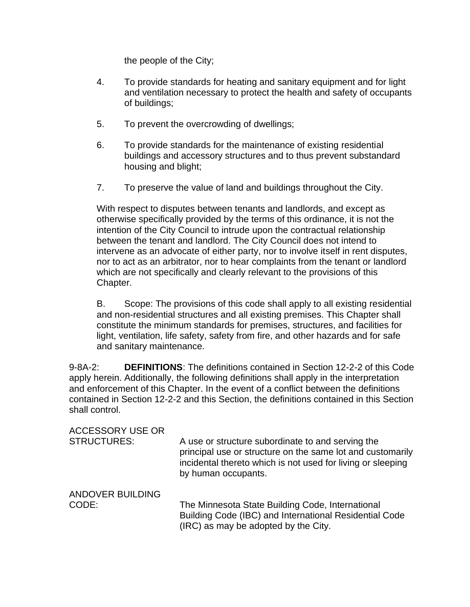the people of the City;

- 4. To provide standards for heating and sanitary equipment and for light and ventilation necessary to protect the health and safety of occupants of buildings;
- 5. To prevent the overcrowding of dwellings;
- 6. To provide standards for the maintenance of existing residential buildings and accessory structures and to thus prevent substandard housing and blight;
- 7. To preserve the value of land and buildings throughout the City.

With respect to disputes between tenants and landlords, and except as otherwise specifically provided by the terms of this ordinance, it is not the intention of the City Council to intrude upon the contractual relationship between the tenant and landlord. The City Council does not intend to intervene as an advocate of either party, nor to involve itself in rent disputes, nor to act as an arbitrator, nor to hear complaints from the tenant or landlord which are not specifically and clearly relevant to the provisions of this Chapter.

B. Scope: The provisions of this code shall apply to all existing residential and non-residential structures and all existing premises. This Chapter shall constitute the minimum standards for premises, structures, and facilities for light, ventilation, life safety, safety from fire, and other hazards and for safe and sanitary maintenance.

9-8A-2: **DEFINITIONS**: The definitions contained in Section 12-2-2 of this Code apply herein. Additionally, the following definitions shall apply in the interpretation and enforcement of this Chapter. In the event of a conflict between the definitions contained in Section 12-2-2 and this Section, the definitions contained in this Section shall control.

| <b>ACCESSORY USE OR</b><br><b>STRUCTURES:</b> | A use or structure subordinate to and serving the<br>principal use or structure on the same lot and customarily<br>incidental thereto which is not used for living or sleeping<br>by human occupants. |
|-----------------------------------------------|-------------------------------------------------------------------------------------------------------------------------------------------------------------------------------------------------------|
| <b>ANDOVER BUILDING</b>                       |                                                                                                                                                                                                       |
| CODE:                                         | The Minnesota State Building Code, International<br>Building Code (IBC) and International Residential Code<br>(IRC) as may be adopted by the City.                                                    |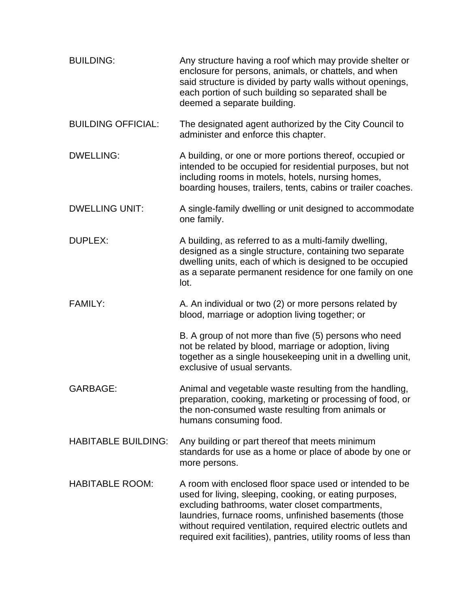| <b>BUILDING:</b>           | Any structure having a roof which may provide shelter or<br>enclosure for persons, animals, or chattels, and when<br>said structure is divided by party walls without openings,<br>each portion of such building so separated shall be<br>deemed a separate building.                                                                                            |
|----------------------------|------------------------------------------------------------------------------------------------------------------------------------------------------------------------------------------------------------------------------------------------------------------------------------------------------------------------------------------------------------------|
| <b>BUILDING OFFICIAL:</b>  | The designated agent authorized by the City Council to<br>administer and enforce this chapter.                                                                                                                                                                                                                                                                   |
| <b>DWELLING:</b>           | A building, or one or more portions thereof, occupied or<br>intended to be occupied for residential purposes, but not<br>including rooms in motels, hotels, nursing homes,<br>boarding houses, trailers, tents, cabins or trailer coaches.                                                                                                                       |
| <b>DWELLING UNIT:</b>      | A single-family dwelling or unit designed to accommodate<br>one family.                                                                                                                                                                                                                                                                                          |
| <b>DUPLEX:</b>             | A building, as referred to as a multi-family dwelling,<br>designed as a single structure, containing two separate<br>dwelling units, each of which is designed to be occupied<br>as a separate permanent residence for one family on one<br>lot.                                                                                                                 |
| <b>FAMILY:</b>             | A. An individual or two (2) or more persons related by<br>blood, marriage or adoption living together; or                                                                                                                                                                                                                                                        |
|                            | B. A group of not more than five (5) persons who need<br>not be related by blood, marriage or adoption, living<br>together as a single housekeeping unit in a dwelling unit,<br>exclusive of usual servants.                                                                                                                                                     |
| <b>GARBAGE:</b>            | Animal and vegetable waste resulting from the handling,<br>preparation, cooking, marketing or processing of food, or<br>the non-consumed waste resulting from animals or<br>humans consuming food.                                                                                                                                                               |
| <b>HABITABLE BUILDING:</b> | Any building or part thereof that meets minimum<br>standards for use as a home or place of abode by one or<br>more persons.                                                                                                                                                                                                                                      |
| <b>HABITABLE ROOM:</b>     | A room with enclosed floor space used or intended to be<br>used for living, sleeping, cooking, or eating purposes,<br>excluding bathrooms, water closet compartments,<br>laundries, furnace rooms, unfinished basements (those<br>without required ventilation, required electric outlets and<br>required exit facilities), pantries, utility rooms of less than |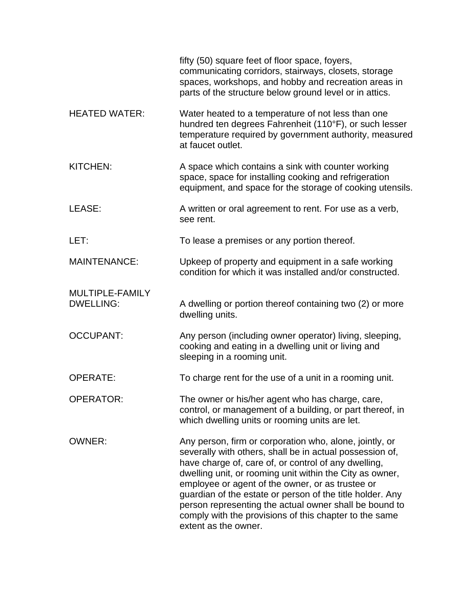|                                     | fifty (50) square feet of floor space, foyers,<br>communicating corridors, stairways, closets, storage<br>spaces, workshops, and hobby and recreation areas in<br>parts of the structure below ground level or in attics.                                                                                                                                                                                                                                                                            |
|-------------------------------------|------------------------------------------------------------------------------------------------------------------------------------------------------------------------------------------------------------------------------------------------------------------------------------------------------------------------------------------------------------------------------------------------------------------------------------------------------------------------------------------------------|
| <b>HEATED WATER:</b>                | Water heated to a temperature of not less than one<br>hundred ten degrees Fahrenheit (110°F), or such lesser<br>temperature required by government authority, measured<br>at faucet outlet.                                                                                                                                                                                                                                                                                                          |
| <b>KITCHEN:</b>                     | A space which contains a sink with counter working<br>space, space for installing cooking and refrigeration<br>equipment, and space for the storage of cooking utensils.                                                                                                                                                                                                                                                                                                                             |
| LEASE:                              | A written or oral agreement to rent. For use as a verb,<br>see rent.                                                                                                                                                                                                                                                                                                                                                                                                                                 |
| LET:                                | To lease a premises or any portion thereof.                                                                                                                                                                                                                                                                                                                                                                                                                                                          |
| <b>MAINTENANCE:</b>                 | Upkeep of property and equipment in a safe working<br>condition for which it was installed and/or constructed.                                                                                                                                                                                                                                                                                                                                                                                       |
| MULTIPLE-FAMILY<br><b>DWELLING:</b> | A dwelling or portion thereof containing two (2) or more<br>dwelling units.                                                                                                                                                                                                                                                                                                                                                                                                                          |
| <b>OCCUPANT:</b>                    | Any person (including owner operator) living, sleeping,<br>cooking and eating in a dwelling unit or living and<br>sleeping in a rooming unit.                                                                                                                                                                                                                                                                                                                                                        |
| <b>OPERATE:</b>                     | To charge rent for the use of a unit in a rooming unit.                                                                                                                                                                                                                                                                                                                                                                                                                                              |
| <b>OPERATOR:</b>                    | The owner or his/her agent who has charge, care,<br>control, or management of a building, or part thereof, in<br>which dwelling units or rooming units are let.                                                                                                                                                                                                                                                                                                                                      |
| <b>OWNER:</b>                       | Any person, firm or corporation who, alone, jointly, or<br>severally with others, shall be in actual possession of,<br>have charge of, care of, or control of any dwelling,<br>dwelling unit, or rooming unit within the City as owner,<br>employee or agent of the owner, or as trustee or<br>guardian of the estate or person of the title holder. Any<br>person representing the actual owner shall be bound to<br>comply with the provisions of this chapter to the same<br>extent as the owner. |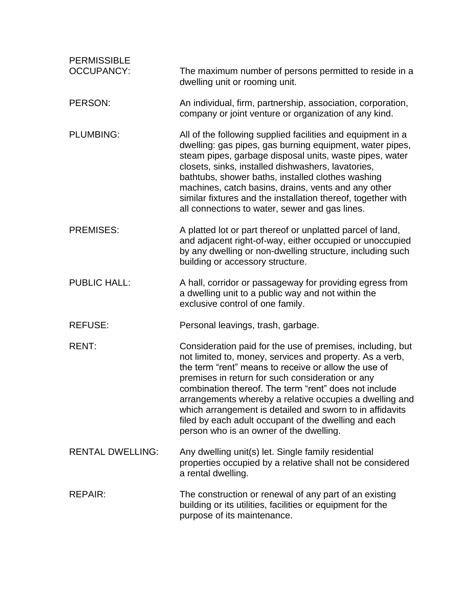| <b>PERMISSIBLE</b><br><b>OCCUPANCY:</b> | The maximum number of persons permitted to reside in a<br>dwelling unit or rooming unit.                                                                                                                                                                                                                                                                                                                                                                                                                               |
|-----------------------------------------|------------------------------------------------------------------------------------------------------------------------------------------------------------------------------------------------------------------------------------------------------------------------------------------------------------------------------------------------------------------------------------------------------------------------------------------------------------------------------------------------------------------------|
| PERSON:                                 | An individual, firm, partnership, association, corporation,<br>company or joint venture or organization of any kind.                                                                                                                                                                                                                                                                                                                                                                                                   |
| <b>PLUMBING:</b>                        | All of the following supplied facilities and equipment in a<br>dwelling: gas pipes, gas burning equipment, water pipes,<br>steam pipes, garbage disposal units, waste pipes, water<br>closets, sinks, installed dishwashers, lavatories,<br>bathtubs, shower baths, installed clothes washing<br>machines, catch basins, drains, vents and any other<br>similar fixtures and the installation thereof, together with<br>all connections to water, sewer and gas lines.                                                 |
| <b>PREMISES:</b>                        | A platted lot or part thereof or unplatted parcel of land,<br>and adjacent right-of-way, either occupied or unoccupied<br>by any dwelling or non-dwelling structure, including such<br>building or accessory structure.                                                                                                                                                                                                                                                                                                |
| <b>PUBLIC HALL:</b>                     | A hall, corridor or passageway for providing egress from<br>a dwelling unit to a public way and not within the<br>exclusive control of one family.                                                                                                                                                                                                                                                                                                                                                                     |
| <b>REFUSE:</b>                          | Personal leavings, trash, garbage.                                                                                                                                                                                                                                                                                                                                                                                                                                                                                     |
| <b>RENT:</b>                            | Consideration paid for the use of premises, including, but<br>not limited to, money, services and property. As a verb,<br>the term "rent" means to receive or allow the use of<br>premises in return for such consideration or any<br>combination thereof. The term "rent" does not include<br>arrangements whereby a relative occupies a dwelling and<br>which arrangement is detailed and sworn to in affidavits<br>filed by each adult occupant of the dwelling and each<br>person who is an owner of the dwelling. |
| <b>RENTAL DWELLING:</b>                 | Any dwelling unit(s) let. Single family residential<br>properties occupied by a relative shall not be considered<br>a rental dwelling.                                                                                                                                                                                                                                                                                                                                                                                 |
| <b>REPAIR:</b>                          | The construction or renewal of any part of an existing<br>building or its utilities, facilities or equipment for the<br>purpose of its maintenance.                                                                                                                                                                                                                                                                                                                                                                    |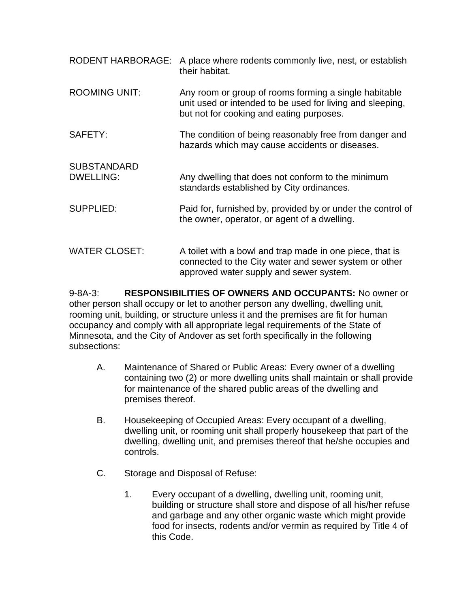| <b>RODENT HARBORAGE:</b>               | A place where rodents commonly live, nest, or establish<br>their habitat.                                                                                      |
|----------------------------------------|----------------------------------------------------------------------------------------------------------------------------------------------------------------|
| <b>ROOMING UNIT:</b>                   | Any room or group of rooms forming a single habitable<br>unit used or intended to be used for living and sleeping,<br>but not for cooking and eating purposes. |
| SAFETY:                                | The condition of being reasonably free from danger and<br>hazards which may cause accidents or diseases.                                                       |
| <b>SUBSTANDARD</b><br><b>DWELLING:</b> | Any dwelling that does not conform to the minimum<br>standards established by City ordinances.                                                                 |
| <b>SUPPLIED:</b>                       | Paid for, furnished by, provided by or under the control of<br>the owner, operator, or agent of a dwelling.                                                    |
| <b>WATER CLOSET:</b>                   | A toilet with a bowl and trap made in one piece, that is<br>connected to the City water and sewer system or other<br>approved water supply and sewer system.   |

9-8A-3: **RESPONSIBILITIES OF OWNERS AND OCCUPANTS:** No owner or other person shall occupy or let to another person any dwelling, dwelling unit, rooming unit, building, or structure unless it and the premises are fit for human occupancy and comply with all appropriate legal requirements of the State of Minnesota, and the City of Andover as set forth specifically in the following subsections:

- A. Maintenance of Shared or Public Areas: Every owner of a dwelling containing two (2) or more dwelling units shall maintain or shall provide for maintenance of the shared public areas of the dwelling and premises thereof.
- B. Housekeeping of Occupied Areas: Every occupant of a dwelling, dwelling unit, or rooming unit shall properly housekeep that part of the dwelling, dwelling unit, and premises thereof that he/she occupies and controls.
- C. Storage and Disposal of Refuse:
	- 1. Every occupant of a dwelling, dwelling unit, rooming unit, building or structure shall store and dispose of all his/her refuse and garbage and any other organic waste which might provide food for insects, rodents and/or vermin as required by Title 4 of this Code.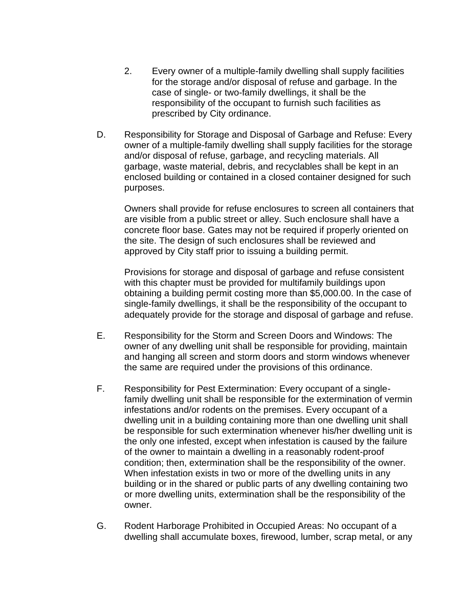- 2. Every owner of a multiple-family dwelling shall supply facilities for the storage and/or disposal of refuse and garbage. In the case of single- or two-family dwellings, it shall be the responsibility of the occupant to furnish such facilities as prescribed by City ordinance.
- D. Responsibility for Storage and Disposal of Garbage and Refuse: Every owner of a multiple-family dwelling shall supply facilities for the storage and/or disposal of refuse, garbage, and recycling materials. All garbage, waste material, debris, and recyclables shall be kept in an enclosed building or contained in a closed container designed for such purposes.

Owners shall provide for refuse enclosures to screen all containers that are visible from a public street or alley. Such enclosure shall have a concrete floor base. Gates may not be required if properly oriented on the site. The design of such enclosures shall be reviewed and approved by City staff prior to issuing a building permit.

Provisions for storage and disposal of garbage and refuse consistent with this chapter must be provided for multifamily buildings upon obtaining a building permit costing more than \$5,000.00. In the case of single-family dwellings, it shall be the responsibility of the occupant to adequately provide for the storage and disposal of garbage and refuse.

- E. Responsibility for the Storm and Screen Doors and Windows: The owner of any dwelling unit shall be responsible for providing, maintain and hanging all screen and storm doors and storm windows whenever the same are required under the provisions of this ordinance.
- F. Responsibility for Pest Extermination: Every occupant of a singlefamily dwelling unit shall be responsible for the extermination of vermin infestations and/or rodents on the premises. Every occupant of a dwelling unit in a building containing more than one dwelling unit shall be responsible for such extermination whenever his/her dwelling unit is the only one infested, except when infestation is caused by the failure of the owner to maintain a dwelling in a reasonably rodent-proof condition; then, extermination shall be the responsibility of the owner. When infestation exists in two or more of the dwelling units in any building or in the shared or public parts of any dwelling containing two or more dwelling units, extermination shall be the responsibility of the owner.
- G. Rodent Harborage Prohibited in Occupied Areas: No occupant of a dwelling shall accumulate boxes, firewood, lumber, scrap metal, or any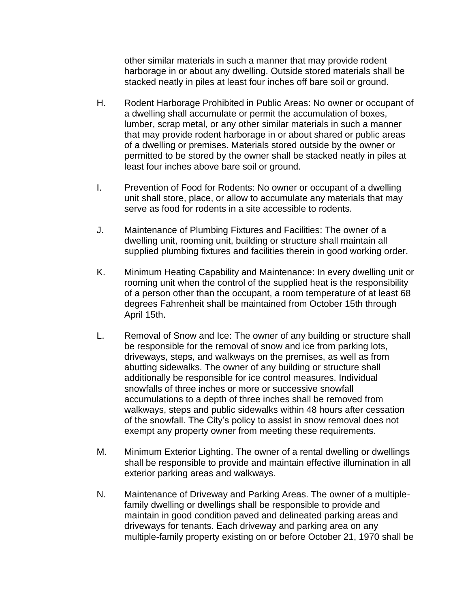other similar materials in such a manner that may provide rodent harborage in or about any dwelling. Outside stored materials shall be stacked neatly in piles at least four inches off bare soil or ground.

- H. Rodent Harborage Prohibited in Public Areas: No owner or occupant of a dwelling shall accumulate or permit the accumulation of boxes, lumber, scrap metal, or any other similar materials in such a manner that may provide rodent harborage in or about shared or public areas of a dwelling or premises. Materials stored outside by the owner or permitted to be stored by the owner shall be stacked neatly in piles at least four inches above bare soil or ground.
- I. Prevention of Food for Rodents: No owner or occupant of a dwelling unit shall store, place, or allow to accumulate any materials that may serve as food for rodents in a site accessible to rodents.
- J. Maintenance of Plumbing Fixtures and Facilities: The owner of a dwelling unit, rooming unit, building or structure shall maintain all supplied plumbing fixtures and facilities therein in good working order.
- K. Minimum Heating Capability and Maintenance: In every dwelling unit or rooming unit when the control of the supplied heat is the responsibility of a person other than the occupant, a room temperature of at least 68 degrees Fahrenheit shall be maintained from October 15th through April 15th.
- L. Removal of Snow and Ice: The owner of any building or structure shall be responsible for the removal of snow and ice from parking lots, driveways, steps, and walkways on the premises, as well as from abutting sidewalks. The owner of any building or structure shall additionally be responsible for ice control measures. Individual snowfalls of three inches or more or successive snowfall accumulations to a depth of three inches shall be removed from walkways, steps and public sidewalks within 48 hours after cessation of the snowfall. The City's policy to assist in snow removal does not exempt any property owner from meeting these requirements.
- M. Minimum Exterior Lighting. The owner of a rental dwelling or dwellings shall be responsible to provide and maintain effective illumination in all exterior parking areas and walkways.
- N. Maintenance of Driveway and Parking Areas. The owner of a multiplefamily dwelling or dwellings shall be responsible to provide and maintain in good condition paved and delineated parking areas and driveways for tenants. Each driveway and parking area on any multiple-family property existing on or before October 21, 1970 shall be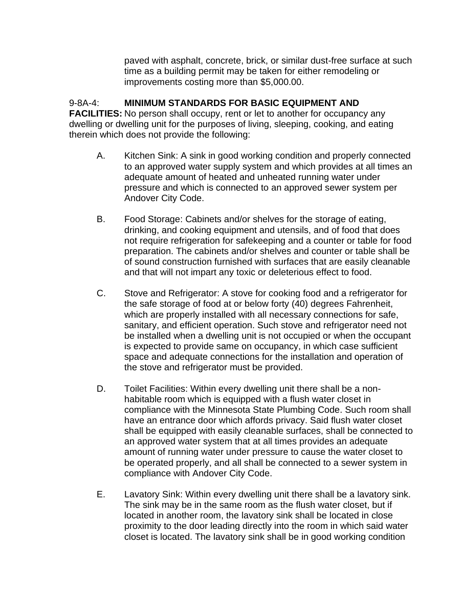paved with asphalt, concrete, brick, or similar dust-free surface at such time as a building permit may be taken for either remodeling or improvements costing more than \$5,000.00.

# 9-8A-4: **MINIMUM STANDARDS FOR BASIC EQUIPMENT AND**

**FACILITIES:** No person shall occupy, rent or let to another for occupancy any dwelling or dwelling unit for the purposes of living, sleeping, cooking, and eating therein which does not provide the following:

- A. Kitchen Sink: A sink in good working condition and properly connected to an approved water supply system and which provides at all times an adequate amount of heated and unheated running water under pressure and which is connected to an approved sewer system per Andover City Code.
- B. Food Storage: Cabinets and/or shelves for the storage of eating, drinking, and cooking equipment and utensils, and of food that does not require refrigeration for safekeeping and a counter or table for food preparation. The cabinets and/or shelves and counter or table shall be of sound construction furnished with surfaces that are easily cleanable and that will not impart any toxic or deleterious effect to food.
- C. Stove and Refrigerator: A stove for cooking food and a refrigerator for the safe storage of food at or below forty (40) degrees Fahrenheit, which are properly installed with all necessary connections for safe, sanitary, and efficient operation. Such stove and refrigerator need not be installed when a dwelling unit is not occupied or when the occupant is expected to provide same on occupancy, in which case sufficient space and adequate connections for the installation and operation of the stove and refrigerator must be provided.
- D. Toilet Facilities: Within every dwelling unit there shall be a nonhabitable room which is equipped with a flush water closet in compliance with the Minnesota State Plumbing Code. Such room shall have an entrance door which affords privacy. Said flush water closet shall be equipped with easily cleanable surfaces, shall be connected to an approved water system that at all times provides an adequate amount of running water under pressure to cause the water closet to be operated properly, and all shall be connected to a sewer system in compliance with Andover City Code.
- E. Lavatory Sink: Within every dwelling unit there shall be a lavatory sink. The sink may be in the same room as the flush water closet, but if located in another room, the lavatory sink shall be located in close proximity to the door leading directly into the room in which said water closet is located. The lavatory sink shall be in good working condition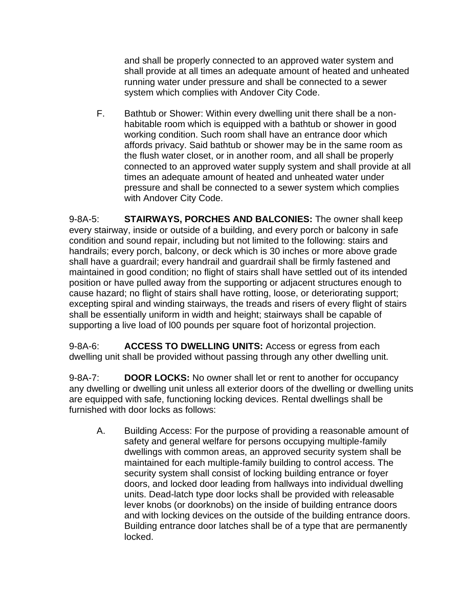and shall be properly connected to an approved water system and shall provide at all times an adequate amount of heated and unheated running water under pressure and shall be connected to a sewer system which complies with Andover City Code.

F. Bathtub or Shower: Within every dwelling unit there shall be a nonhabitable room which is equipped with a bathtub or shower in good working condition. Such room shall have an entrance door which affords privacy. Said bathtub or shower may be in the same room as the flush water closet, or in another room, and all shall be properly connected to an approved water supply system and shall provide at all times an adequate amount of heated and unheated water under pressure and shall be connected to a sewer system which complies with Andover City Code.

9-8A-5: **STAIRWAYS, PORCHES AND BALCONIES:** The owner shall keep every stairway, inside or outside of a building, and every porch or balcony in safe condition and sound repair, including but not limited to the following: stairs and handrails; every porch, balcony, or deck which is 30 inches or more above grade shall have a guardrail; every handrail and guardrail shall be firmly fastened and maintained in good condition; no flight of stairs shall have settled out of its intended position or have pulled away from the supporting or adjacent structures enough to cause hazard; no flight of stairs shall have rotting, loose, or deteriorating support; excepting spiral and winding stairways, the treads and risers of every flight of stairs shall be essentially uniform in width and height; stairways shall be capable of supporting a live load of l00 pounds per square foot of horizontal projection.

9-8A-6: **ACCESS TO DWELLING UNITS:** Access or egress from each dwelling unit shall be provided without passing through any other dwelling unit.

9-8A-7: **DOOR LOCKS:** No owner shall let or rent to another for occupancy any dwelling or dwelling unit unless all exterior doors of the dwelling or dwelling units are equipped with safe, functioning locking devices. Rental dwellings shall be furnished with door locks as follows:

A. Building Access: For the purpose of providing a reasonable amount of safety and general welfare for persons occupying multiple-family dwellings with common areas, an approved security system shall be maintained for each multiple-family building to control access. The security system shall consist of locking building entrance or foyer doors, and locked door leading from hallways into individual dwelling units. Dead-latch type door locks shall be provided with releasable lever knobs (or doorknobs) on the inside of building entrance doors and with locking devices on the outside of the building entrance doors. Building entrance door latches shall be of a type that are permanently locked.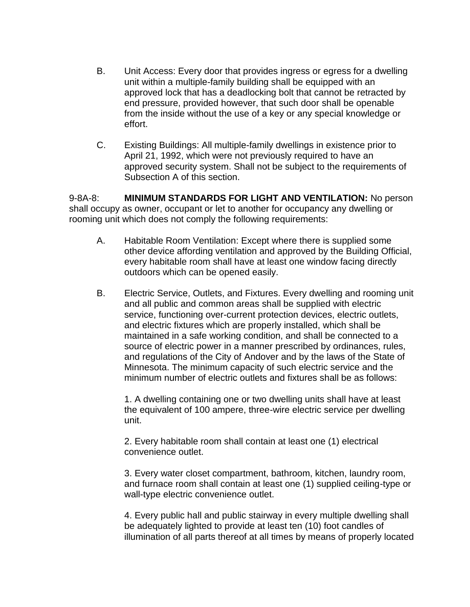- B. Unit Access: Every door that provides ingress or egress for a dwelling unit within a multiple-family building shall be equipped with an approved lock that has a deadlocking bolt that cannot be retracted by end pressure, provided however, that such door shall be openable from the inside without the use of a key or any special knowledge or effort.
- C. Existing Buildings: All multiple-family dwellings in existence prior to April 21, 1992, which were not previously required to have an approved security system. Shall not be subject to the requirements of Subsection A of this section.

9-8A-8: **MINIMUM STANDARDS FOR LIGHT AND VENTILATION:** No person shall occupy as owner, occupant or let to another for occupancy any dwelling or rooming unit which does not comply the following requirements:

- A. Habitable Room Ventilation: Except where there is supplied some other device affording ventilation and approved by the Building Official, every habitable room shall have at least one window facing directly outdoors which can be opened easily.
- B. Electric Service, Outlets, and Fixtures. Every dwelling and rooming unit and all public and common areas shall be supplied with electric service, functioning over-current protection devices, electric outlets, and electric fixtures which are properly installed, which shall be maintained in a safe working condition, and shall be connected to a source of electric power in a manner prescribed by ordinances, rules, and regulations of the City of Andover and by the laws of the State of Minnesota. The minimum capacity of such electric service and the minimum number of electric outlets and fixtures shall be as follows:

1. A dwelling containing one or two dwelling units shall have at least the equivalent of 100 ampere, three-wire electric service per dwelling unit.

2. Every habitable room shall contain at least one (1) electrical convenience outlet.

3. Every water closet compartment, bathroom, kitchen, laundry room, and furnace room shall contain at least one (1) supplied ceiling-type or wall-type electric convenience outlet.

4. Every public hall and public stairway in every multiple dwelling shall be adequately lighted to provide at least ten (10) foot candles of illumination of all parts thereof at all times by means of properly located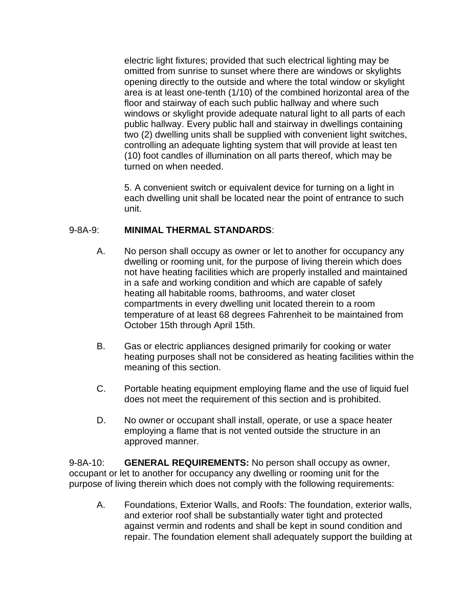electric light fixtures; provided that such electrical lighting may be omitted from sunrise to sunset where there are windows or skylights opening directly to the outside and where the total window or skylight area is at least one-tenth (1/10) of the combined horizontal area of the floor and stairway of each such public hallway and where such windows or skylight provide adequate natural light to all parts of each public hallway. Every public hall and stairway in dwellings containing two (2) dwelling units shall be supplied with convenient light switches, controlling an adequate lighting system that will provide at least ten (10) foot candles of illumination on all parts thereof, which may be turned on when needed.

5. A convenient switch or equivalent device for turning on a light in each dwelling unit shall be located near the point of entrance to such unit.

#### 9-8A-9: **MINIMAL THERMAL STANDARDS**:

- A. No person shall occupy as owner or let to another for occupancy any dwelling or rooming unit, for the purpose of living therein which does not have heating facilities which are properly installed and maintained in a safe and working condition and which are capable of safely heating all habitable rooms, bathrooms, and water closet compartments in every dwelling unit located therein to a room temperature of at least 68 degrees Fahrenheit to be maintained from October 15th through April 15th.
- B. Gas or electric appliances designed primarily for cooking or water heating purposes shall not be considered as heating facilities within the meaning of this section.
- C. Portable heating equipment employing flame and the use of liquid fuel does not meet the requirement of this section and is prohibited.
- D. No owner or occupant shall install, operate, or use a space heater employing a flame that is not vented outside the structure in an approved manner.

9-8A-10: **GENERAL REQUIREMENTS:** No person shall occupy as owner, occupant or let to another for occupancy any dwelling or rooming unit for the purpose of living therein which does not comply with the following requirements:

A. Foundations, Exterior Walls, and Roofs: The foundation, exterior walls, and exterior roof shall be substantially water tight and protected against vermin and rodents and shall be kept in sound condition and repair. The foundation element shall adequately support the building at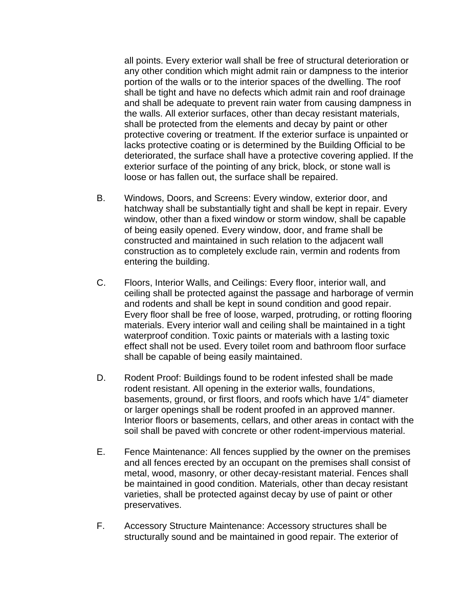all points. Every exterior wall shall be free of structural deterioration or any other condition which might admit rain or dampness to the interior portion of the walls or to the interior spaces of the dwelling. The roof shall be tight and have no defects which admit rain and roof drainage and shall be adequate to prevent rain water from causing dampness in the walls. All exterior surfaces, other than decay resistant materials, shall be protected from the elements and decay by paint or other protective covering or treatment. If the exterior surface is unpainted or lacks protective coating or is determined by the Building Official to be deteriorated, the surface shall have a protective covering applied. If the exterior surface of the pointing of any brick, block, or stone wall is loose or has fallen out, the surface shall be repaired.

- B. Windows, Doors, and Screens: Every window, exterior door, and hatchway shall be substantially tight and shall be kept in repair. Every window, other than a fixed window or storm window, shall be capable of being easily opened. Every window, door, and frame shall be constructed and maintained in such relation to the adjacent wall construction as to completely exclude rain, vermin and rodents from entering the building.
- C. Floors, Interior Walls, and Ceilings: Every floor, interior wall, and ceiling shall be protected against the passage and harborage of vermin and rodents and shall be kept in sound condition and good repair. Every floor shall be free of loose, warped, protruding, or rotting flooring materials. Every interior wall and ceiling shall be maintained in a tight waterproof condition. Toxic paints or materials with a lasting toxic effect shall not be used. Every toilet room and bathroom floor surface shall be capable of being easily maintained.
- D. Rodent Proof: Buildings found to be rodent infested shall be made rodent resistant. All opening in the exterior walls, foundations, basements, ground, or first floors, and roofs which have 1/4" diameter or larger openings shall be rodent proofed in an approved manner. Interior floors or basements, cellars, and other areas in contact with the soil shall be paved with concrete or other rodent-impervious material.
- E. Fence Maintenance: All fences supplied by the owner on the premises and all fences erected by an occupant on the premises shall consist of metal, wood, masonry, or other decay-resistant material. Fences shall be maintained in good condition. Materials, other than decay resistant varieties, shall be protected against decay by use of paint or other preservatives.
- F. Accessory Structure Maintenance: Accessory structures shall be structurally sound and be maintained in good repair. The exterior of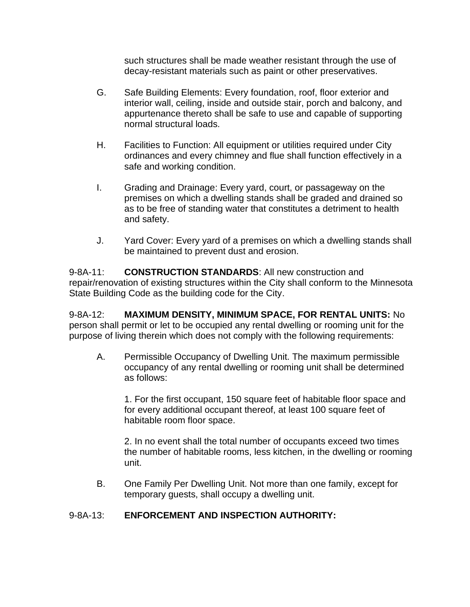such structures shall be made weather resistant through the use of decay-resistant materials such as paint or other preservatives.

- G. Safe Building Elements: Every foundation, roof, floor exterior and interior wall, ceiling, inside and outside stair, porch and balcony, and appurtenance thereto shall be safe to use and capable of supporting normal structural loads.
- H. Facilities to Function: All equipment or utilities required under City ordinances and every chimney and flue shall function effectively in a safe and working condition.
- I. Grading and Drainage: Every yard, court, or passageway on the premises on which a dwelling stands shall be graded and drained so as to be free of standing water that constitutes a detriment to health and safety.
- J. Yard Cover: Every yard of a premises on which a dwelling stands shall be maintained to prevent dust and erosion.

9-8A-11: **CONSTRUCTION STANDARDS**: All new construction and repair/renovation of existing structures within the City shall conform to the Minnesota State Building Code as the building code for the City.

9-8A-12: **MAXIMUM DENSITY, MINIMUM SPACE, FOR RENTAL UNITS:** No person shall permit or let to be occupied any rental dwelling or rooming unit for the purpose of living therein which does not comply with the following requirements:

A. Permissible Occupancy of Dwelling Unit. The maximum permissible occupancy of any rental dwelling or rooming unit shall be determined as follows:

1. For the first occupant, 150 square feet of habitable floor space and for every additional occupant thereof, at least 100 square feet of habitable room floor space.

2. In no event shall the total number of occupants exceed two times the number of habitable rooms, less kitchen, in the dwelling or rooming unit.

B. One Family Per Dwelling Unit. Not more than one family, except for temporary guests, shall occupy a dwelling unit.

# 9-8A-13: **ENFORCEMENT AND INSPECTION AUTHORITY:**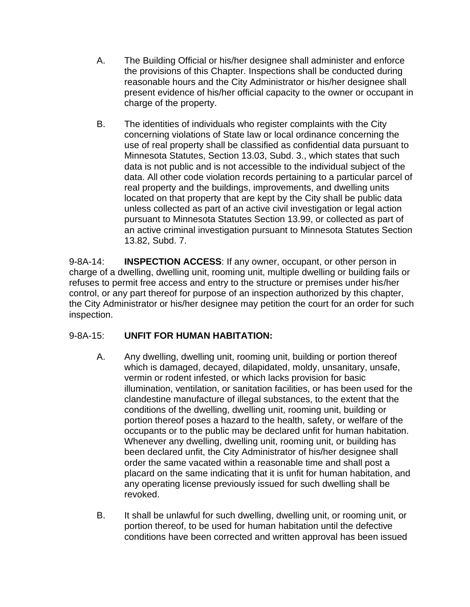- A. The Building Official or his/her designee shall administer and enforce the provisions of this Chapter. Inspections shall be conducted during reasonable hours and the City Administrator or his/her designee shall present evidence of his/her official capacity to the owner or occupant in charge of the property.
- B. The identities of individuals who register complaints with the City concerning violations of State law or local ordinance concerning the use of real property shall be classified as confidential data pursuant to Minnesota Statutes, Section 13.03, Subd. 3., which states that such data is not public and is not accessible to the individual subject of the data. All other code violation records pertaining to a particular parcel of real property and the buildings, improvements, and dwelling units located on that property that are kept by the City shall be public data unless collected as part of an active civil investigation or legal action pursuant to Minnesota Statutes Section 13.99, or collected as part of an active criminal investigation pursuant to Minnesota Statutes Section 13.82, Subd. 7.

9-8A-14: **INSPECTION ACCESS**: If any owner, occupant, or other person in charge of a dwelling, dwelling unit, rooming unit, multiple dwelling or building fails or refuses to permit free access and entry to the structure or premises under his/her control, or any part thereof for purpose of an inspection authorized by this chapter, the City Administrator or his/her designee may petition the court for an order for such inspection.

### 9-8A-15: **UNFIT FOR HUMAN HABITATION:**

- A. Any dwelling, dwelling unit, rooming unit, building or portion thereof which is damaged, decayed, dilapidated, moldy, unsanitary, unsafe, vermin or rodent infested, or which lacks provision for basic illumination, ventilation, or sanitation facilities, or has been used for the clandestine manufacture of illegal substances, to the extent that the conditions of the dwelling, dwelling unit, rooming unit, building or portion thereof poses a hazard to the health, safety, or welfare of the occupants or to the public may be declared unfit for human habitation. Whenever any dwelling, dwelling unit, rooming unit, or building has been declared unfit, the City Administrator of his/her designee shall order the same vacated within a reasonable time and shall post a placard on the same indicating that it is unfit for human habitation, and any operating license previously issued for such dwelling shall be revoked.
- B. It shall be unlawful for such dwelling, dwelling unit, or rooming unit, or portion thereof, to be used for human habitation until the defective conditions have been corrected and written approval has been issued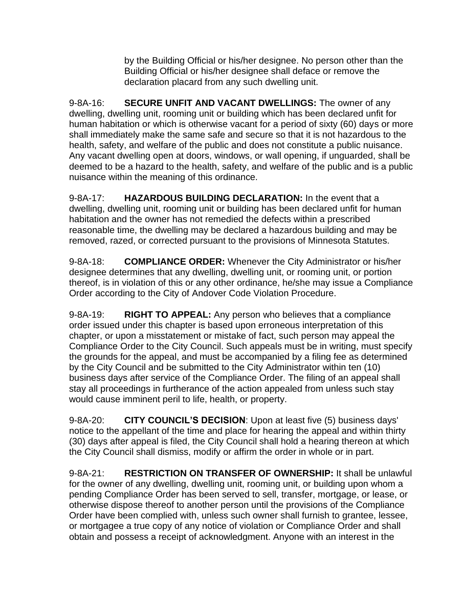by the Building Official or his/her designee. No person other than the Building Official or his/her designee shall deface or remove the declaration placard from any such dwelling unit.

9-8A-16: **SECURE UNFIT AND VACANT DWELLINGS:** The owner of any dwelling, dwelling unit, rooming unit or building which has been declared unfit for human habitation or which is otherwise vacant for a period of sixty (60) days or more shall immediately make the same safe and secure so that it is not hazardous to the health, safety, and welfare of the public and does not constitute a public nuisance. Any vacant dwelling open at doors, windows, or wall opening, if unguarded, shall be deemed to be a hazard to the health, safety, and welfare of the public and is a public nuisance within the meaning of this ordinance.

9-8A-17: **HAZARDOUS BUILDING DECLARATION:** In the event that a dwelling, dwelling unit, rooming unit or building has been declared unfit for human habitation and the owner has not remedied the defects within a prescribed reasonable time, the dwelling may be declared a hazardous building and may be removed, razed, or corrected pursuant to the provisions of Minnesota Statutes.

9-8A-18: **COMPLIANCE ORDER:** Whenever the City Administrator or his/her designee determines that any dwelling, dwelling unit, or rooming unit, or portion thereof, is in violation of this or any other ordinance, he/she may issue a Compliance Order according to the City of Andover Code Violation Procedure.

9-8A-19: **RIGHT TO APPEAL:** Any person who believes that a compliance order issued under this chapter is based upon erroneous interpretation of this chapter, or upon a misstatement or mistake of fact, such person may appeal the Compliance Order to the City Council. Such appeals must be in writing, must specify the grounds for the appeal, and must be accompanied by a filing fee as determined by the City Council and be submitted to the City Administrator within ten (10) business days after service of the Compliance Order. The filing of an appeal shall stay all proceedings in furtherance of the action appealed from unless such stay would cause imminent peril to life, health, or property.

9-8A-20: **CITY COUNCIL'S DECISION**: Upon at least five (5) business days' notice to the appellant of the time and place for hearing the appeal and within thirty (30) days after appeal is filed, the City Council shall hold a hearing thereon at which the City Council shall dismiss, modify or affirm the order in whole or in part.

9-8A-21: **RESTRICTION ON TRANSFER OF OWNERSHIP:** It shall be unlawful for the owner of any dwelling, dwelling unit, rooming unit, or building upon whom a pending Compliance Order has been served to sell, transfer, mortgage, or lease, or otherwise dispose thereof to another person until the provisions of the Compliance Order have been complied with, unless such owner shall furnish to grantee, lessee, or mortgagee a true copy of any notice of violation or Compliance Order and shall obtain and possess a receipt of acknowledgment. Anyone with an interest in the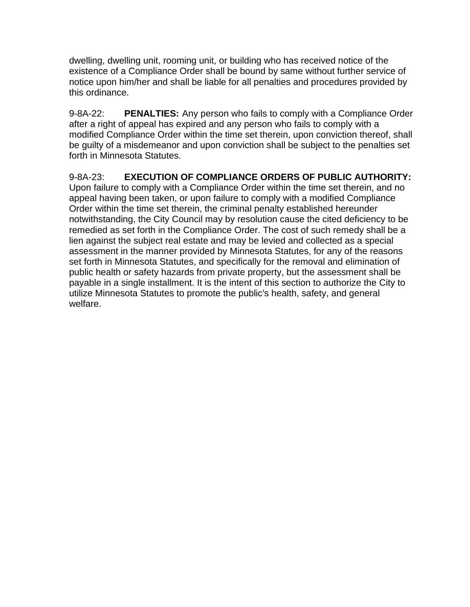dwelling, dwelling unit, rooming unit, or building who has received notice of the existence of a Compliance Order shall be bound by same without further service of notice upon him/her and shall be liable for all penalties and procedures provided by this ordinance.

9-8A-22: **PENALTIES:** Any person who fails to comply with a Compliance Order after a right of appeal has expired and any person who fails to comply with a modified Compliance Order within the time set therein, upon conviction thereof, shall be guilty of a misdemeanor and upon conviction shall be subject to the penalties set forth in Minnesota Statutes.

9-8A-23: **EXECUTION OF COMPLIANCE ORDERS OF PUBLIC AUTHORITY:**  Upon failure to comply with a Compliance Order within the time set therein, and no appeal having been taken, or upon failure to comply with a modified Compliance Order within the time set therein, the criminal penalty established hereunder notwithstanding, the City Council may by resolution cause the cited deficiency to be remedied as set forth in the Compliance Order. The cost of such remedy shall be a lien against the subject real estate and may be levied and collected as a special assessment in the manner provided by Minnesota Statutes, for any of the reasons set forth in Minnesota Statutes, and specifically for the removal and elimination of public health or safety hazards from private property, but the assessment shall be payable in a single installment. It is the intent of this section to authorize the City to utilize Minnesota Statutes to promote the public's health, safety, and general welfare.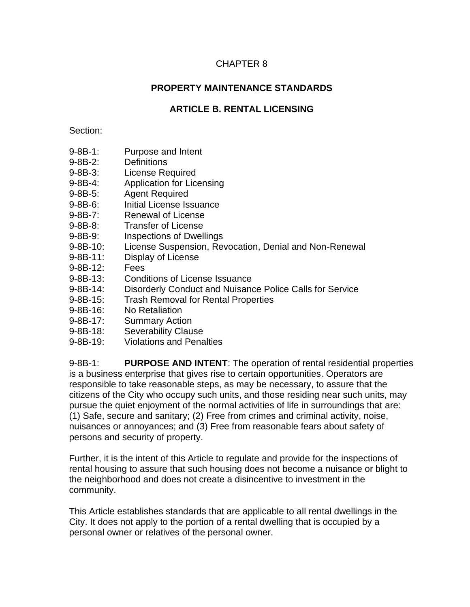### CHAPTER 8

### **PROPERTY MAINTENANCE STANDARDS**

# **ARTICLE B. RENTAL LICENSING**

#### Section:

- 9-8B-1: Purpose and Intent
- 9-8B-2: Definitions
- 9-8B-3: License Required
- 9-8B-4: Application for Licensing
- 9-8B-5: Agent Required
- 9-8B-6: Initial License Issuance
- 9-8B-7: Renewal of License
- 9-8B-8: Transfer of License
- 9-8B-9: Inspections of Dwellings
- 9-8B-10: License Suspension, Revocation, Denial and Non-Renewal
- 9-8B-11: Display of License
- 9-8B-12: Fees
- 9-8B-13: Conditions of License Issuance
- 9-8B-14: Disorderly Conduct and Nuisance Police Calls for Service
- 9-8B-15: Trash Removal for Rental Properties
- 9-8B-16: No Retaliation
- 9-8B-17: Summary Action
- 9-8B-18: Severability Clause
- 9-8B-19: Violations and Penalties

9-8B-1: **PURPOSE AND INTENT**: The operation of rental residential properties is a business enterprise that gives rise to certain opportunities. Operators are responsible to take reasonable steps, as may be necessary, to assure that the citizens of the City who occupy such units, and those residing near such units, may pursue the quiet enjoyment of the normal activities of life in surroundings that are: (1) Safe, secure and sanitary; (2) Free from crimes and criminal activity, noise, nuisances or annoyances; and (3) Free from reasonable fears about safety of persons and security of property.

Further, it is the intent of this Article to regulate and provide for the inspections of rental housing to assure that such housing does not become a nuisance or blight to the neighborhood and does not create a disincentive to investment in the community.

This Article establishes standards that are applicable to all rental dwellings in the City. It does not apply to the portion of a rental dwelling that is occupied by a personal owner or relatives of the personal owner.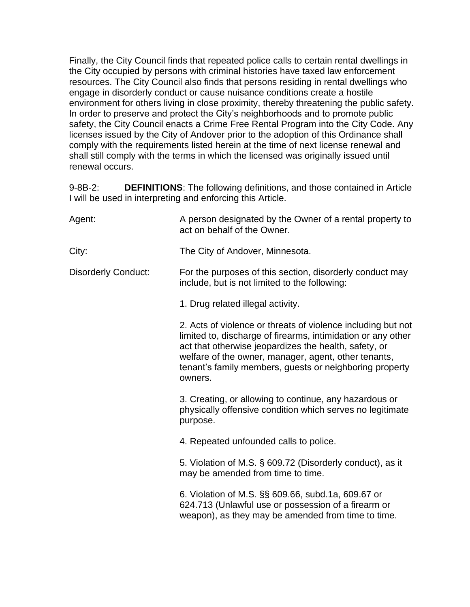Finally, the City Council finds that repeated police calls to certain rental dwellings in the City occupied by persons with criminal histories have taxed law enforcement resources. The City Council also finds that persons residing in rental dwellings who engage in disorderly conduct or cause nuisance conditions create a hostile environment for others living in close proximity, thereby threatening the public safety. In order to preserve and protect the City's neighborhoods and to promote public safety, the City Council enacts a Crime Free Rental Program into the City Code. Any licenses issued by the City of Andover prior to the adoption of this Ordinance shall comply with the requirements listed herein at the time of next license renewal and shall still comply with the terms in which the licensed was originally issued until renewal occurs.

9-8B-2: **DEFINITIONS**: The following definitions, and those contained in Article I will be used in interpreting and enforcing this Article.

| Agent:                     | A person designated by the Owner of a rental property to<br>act on behalf of the Owner.                                                                                                                                                                                                                             |
|----------------------------|---------------------------------------------------------------------------------------------------------------------------------------------------------------------------------------------------------------------------------------------------------------------------------------------------------------------|
| City:                      | The City of Andover, Minnesota.                                                                                                                                                                                                                                                                                     |
| <b>Disorderly Conduct:</b> | For the purposes of this section, disorderly conduct may<br>include, but is not limited to the following:                                                                                                                                                                                                           |
|                            | 1. Drug related illegal activity.                                                                                                                                                                                                                                                                                   |
|                            | 2. Acts of violence or threats of violence including but not<br>limited to, discharge of firearms, intimidation or any other<br>act that otherwise jeopardizes the health, safety, or<br>welfare of the owner, manager, agent, other tenants,<br>tenant's family members, guests or neighboring property<br>owners. |
|                            | 3. Creating, or allowing to continue, any hazardous or<br>physically offensive condition which serves no legitimate<br>purpose.                                                                                                                                                                                     |
|                            | 4. Repeated unfounded calls to police.                                                                                                                                                                                                                                                                              |
|                            | 5. Violation of M.S. § 609.72 (Disorderly conduct), as it<br>may be amended from time to time.                                                                                                                                                                                                                      |
|                            | 6. Violation of M.S. §§ 609.66, subd.1a, 609.67 or<br>624.713 (Unlawful use or possession of a firearm or<br>weapon), as they may be amended from time to time.                                                                                                                                                     |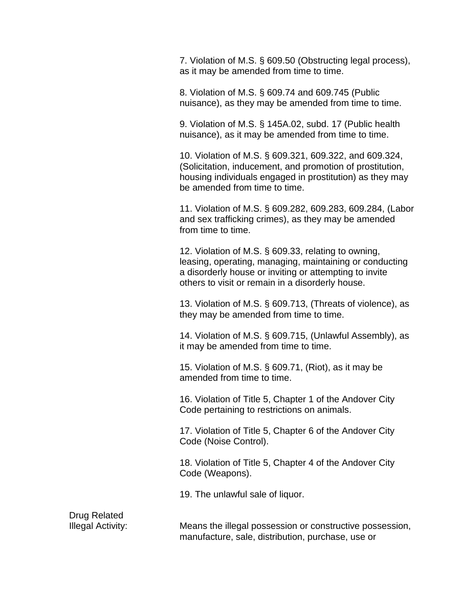7. Violation of M.S. § 609.50 (Obstructing legal process), as it may be amended from time to time.

8. Violation of M.S. § 609.74 and 609.745 (Public nuisance), as they may be amended from time to time.

9. Violation of M.S. § 145A.02, subd. 17 (Public health nuisance), as it may be amended from time to time.

10. Violation of M.S. § 609.321, 609.322, and 609.324, (Solicitation, inducement, and promotion of prostitution, housing individuals engaged in prostitution) as they may be amended from time to time.

11. Violation of M.S. § 609.282, 609.283, 609.284, (Labor and sex trafficking crimes), as they may be amended from time to time.

12. Violation of M.S. § 609.33, relating to owning, leasing, operating, managing, maintaining or conducting a disorderly house or inviting or attempting to invite others to visit or remain in a disorderly house.

13. Violation of M.S. § 609.713, (Threats of violence), as they may be amended from time to time.

14. Violation of M.S. § 609.715, (Unlawful Assembly), as it may be amended from time to time.

15. Violation of M.S. § 609.71, (Riot), as it may be amended from time to time.

16. Violation of Title 5, Chapter 1 of the Andover City Code pertaining to restrictions on animals.

17. Violation of Title 5, Chapter 6 of the Andover City Code (Noise Control).

18. Violation of Title 5, Chapter 4 of the Andover City Code (Weapons).

19. The unlawful sale of liquor.

Drug Related

Illegal Activity: Means the illegal possession or constructive possession, manufacture, sale, distribution, purchase, use or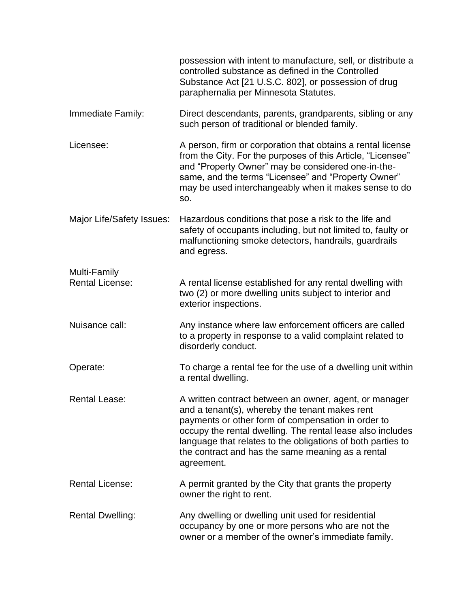|                                        | possession with intent to manufacture, sell, or distribute a<br>controlled substance as defined in the Controlled<br>Substance Act [21 U.S.C. 802], or possession of drug<br>paraphernalia per Minnesota Statutes.                                                                                                                                             |
|----------------------------------------|----------------------------------------------------------------------------------------------------------------------------------------------------------------------------------------------------------------------------------------------------------------------------------------------------------------------------------------------------------------|
| Immediate Family:                      | Direct descendants, parents, grandparents, sibling or any<br>such person of traditional or blended family.                                                                                                                                                                                                                                                     |
| Licensee:                              | A person, firm or corporation that obtains a rental license<br>from the City. For the purposes of this Article, "Licensee"<br>and "Property Owner" may be considered one-in-the-<br>same, and the terms "Licensee" and "Property Owner"<br>may be used interchangeably when it makes sense to do<br>SO.                                                        |
| Major Life/Safety Issues:              | Hazardous conditions that pose a risk to the life and<br>safety of occupants including, but not limited to, faulty or<br>malfunctioning smoke detectors, handrails, guardrails<br>and egress.                                                                                                                                                                  |
| Multi-Family<br><b>Rental License:</b> | A rental license established for any rental dwelling with<br>two (2) or more dwelling units subject to interior and<br>exterior inspections.                                                                                                                                                                                                                   |
| Nuisance call:                         | Any instance where law enforcement officers are called<br>to a property in response to a valid complaint related to<br>disorderly conduct.                                                                                                                                                                                                                     |
| Operate:                               | To charge a rental fee for the use of a dwelling unit within<br>a rental dwelling.                                                                                                                                                                                                                                                                             |
| <b>Rental Lease:</b>                   | A written contract between an owner, agent, or manager<br>and a tenant(s), whereby the tenant makes rent<br>payments or other form of compensation in order to<br>occupy the rental dwelling. The rental lease also includes<br>language that relates to the obligations of both parties to<br>the contract and has the same meaning as a rental<br>agreement. |
| <b>Rental License:</b>                 | A permit granted by the City that grants the property<br>owner the right to rent.                                                                                                                                                                                                                                                                              |
| <b>Rental Dwelling:</b>                | Any dwelling or dwelling unit used for residential<br>occupancy by one or more persons who are not the<br>owner or a member of the owner's immediate family.                                                                                                                                                                                                   |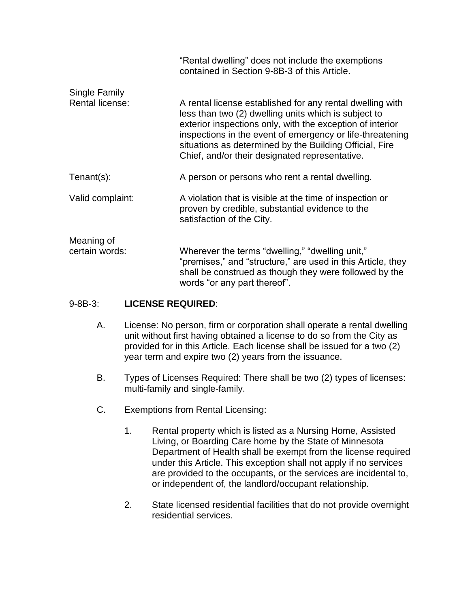|                        | "Rental dwelling" does not include the exemptions<br>contained in Section 9-8B-3 of this Article.                                                                                                                                                                                                                                                        |
|------------------------|----------------------------------------------------------------------------------------------------------------------------------------------------------------------------------------------------------------------------------------------------------------------------------------------------------------------------------------------------------|
| Single Family          |                                                                                                                                                                                                                                                                                                                                                          |
| <b>Rental license:</b> | A rental license established for any rental dwelling with<br>less than two (2) dwelling units which is subject to<br>exterior inspections only, with the exception of interior<br>inspections in the event of emergency or life-threatening<br>situations as determined by the Building Official, Fire<br>Chief, and/or their designated representative. |
| $Tenant(s)$ :          | A person or persons who rent a rental dwelling.                                                                                                                                                                                                                                                                                                          |
| Valid complaint:       | A violation that is visible at the time of inspection or<br>proven by credible, substantial evidence to the<br>satisfaction of the City.                                                                                                                                                                                                                 |
| Meaning of             |                                                                                                                                                                                                                                                                                                                                                          |
| certain words:         | Wherever the terms "dwelling," "dwelling unit,"<br>"premises," and "structure," are used in this Article, they<br>shall be construed as though they were followed by the<br>words "or any part thereof".                                                                                                                                                 |

### 9-8B-3: **LICENSE REQUIRED**:

- A. License: No person, firm or corporation shall operate a rental dwelling unit without first having obtained a license to do so from the City as provided for in this Article. Each license shall be issued for a two (2) year term and expire two (2) years from the issuance.
- B. Types of Licenses Required: There shall be two (2) types of licenses: multi-family and single-family.
- C. Exemptions from Rental Licensing:
	- 1. Rental property which is listed as a Nursing Home, Assisted Living, or Boarding Care home by the State of Minnesota Department of Health shall be exempt from the license required under this Article. This exception shall not apply if no services are provided to the occupants, or the services are incidental to, or independent of, the landlord/occupant relationship.
	- 2. State licensed residential facilities that do not provide overnight residential services.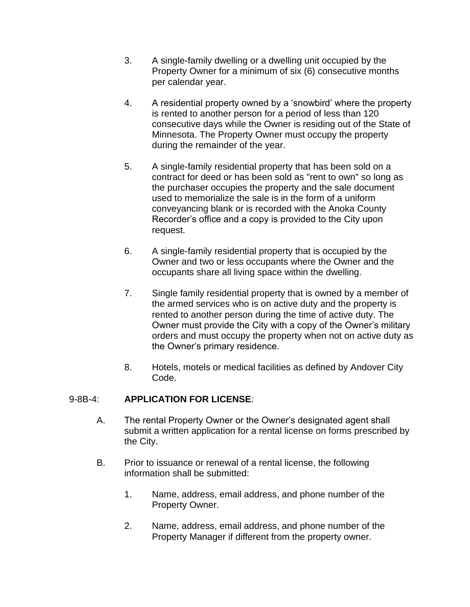- 3. A single-family dwelling or a dwelling unit occupied by the Property Owner for a minimum of six (6) consecutive months per calendar year.
- 4. A residential property owned by a 'snowbird' where the property is rented to another person for a period of less than 120 consecutive days while the Owner is residing out of the State of Minnesota. The Property Owner must occupy the property during the remainder of the year.
- 5. A single-family residential property that has been sold on a contract for deed or has been sold as "rent to own" so long as the purchaser occupies the property and the sale document used to memorialize the sale is in the form of a uniform conveyancing blank or is recorded with the Anoka County Recorder's office and a copy is provided to the City upon request.
- 6. A single-family residential property that is occupied by the Owner and two or less occupants where the Owner and the occupants share all living space within the dwelling.
- 7. Single family residential property that is owned by a member of the armed services who is on active duty and the property is rented to another person during the time of active duty. The Owner must provide the City with a copy of the Owner's military orders and must occupy the property when not on active duty as the Owner's primary residence.
- 8. Hotels, motels or medical facilities as defined by Andover City Code.

### 9-8B-4: **APPLICATION FOR LICENSE**:

- A. The rental Property Owner or the Owner's designated agent shall submit a written application for a rental license on forms prescribed by the City.
- B. Prior to issuance or renewal of a rental license, the following information shall be submitted:
	- 1. Name, address, email address, and phone number of the Property Owner.
	- 2. Name, address, email address, and phone number of the Property Manager if different from the property owner.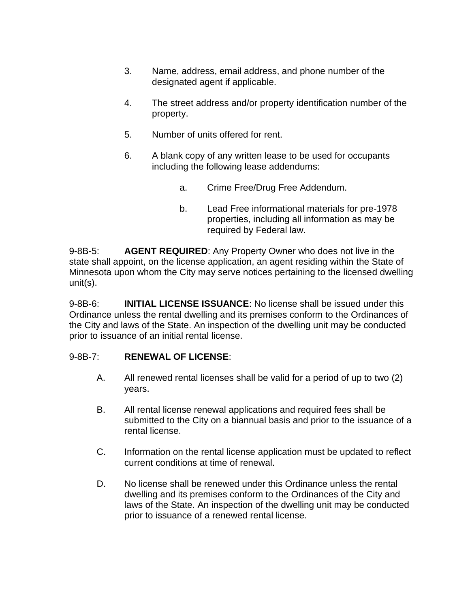- 3. Name, address, email address, and phone number of the designated agent if applicable.
- 4. The street address and/or property identification number of the property.
- 5. Number of units offered for rent.
- 6. A blank copy of any written lease to be used for occupants including the following lease addendums:
	- a. Crime Free/Drug Free Addendum.
	- b. Lead Free informational materials for pre-1978 properties, including all information as may be required by Federal law.

9-8B-5: **AGENT REQUIRED**: Any Property Owner who does not live in the state shall appoint, on the license application, an agent residing within the State of Minnesota upon whom the City may serve notices pertaining to the licensed dwelling unit(s).

9-8B-6: **INITIAL LICENSE ISSUANCE**: No license shall be issued under this Ordinance unless the rental dwelling and its premises conform to the Ordinances of the City and laws of the State. An inspection of the dwelling unit may be conducted prior to issuance of an initial rental license.

### 9-8B-7: **RENEWAL OF LICENSE**:

- A. All renewed rental licenses shall be valid for a period of up to two (2) years.
- B. All rental license renewal applications and required fees shall be submitted to the City on a biannual basis and prior to the issuance of a rental license.
- C. Information on the rental license application must be updated to reflect current conditions at time of renewal.
- D. No license shall be renewed under this Ordinance unless the rental dwelling and its premises conform to the Ordinances of the City and laws of the State. An inspection of the dwelling unit may be conducted prior to issuance of a renewed rental license.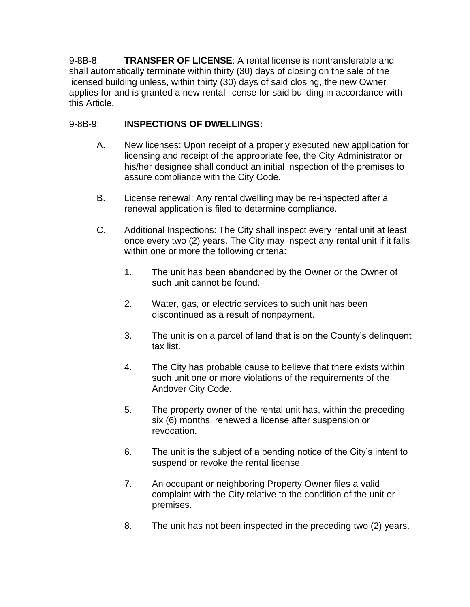9-8B-8: **TRANSFER OF LICENSE**: A rental license is nontransferable and shall automatically terminate within thirty (30) days of closing on the sale of the licensed building unless, within thirty (30) days of said closing, the new Owner applies for and is granted a new rental license for said building in accordance with this Article.

# 9-8B-9: **INSPECTIONS OF DWELLINGS:**

- A. New licenses: Upon receipt of a properly executed new application for licensing and receipt of the appropriate fee, the City Administrator or his/her designee shall conduct an initial inspection of the premises to assure compliance with the City Code.
- B. License renewal: Any rental dwelling may be re-inspected after a renewal application is filed to determine compliance.
- C. Additional Inspections: The City shall inspect every rental unit at least once every two (2) years. The City may inspect any rental unit if it falls within one or more the following criteria:
	- 1. The unit has been abandoned by the Owner or the Owner of such unit cannot be found.
	- 2. Water, gas, or electric services to such unit has been discontinued as a result of nonpayment.
	- 3. The unit is on a parcel of land that is on the County's delinquent tax list.
	- 4. The City has probable cause to believe that there exists within such unit one or more violations of the requirements of the Andover City Code.
	- 5. The property owner of the rental unit has, within the preceding six (6) months, renewed a license after suspension or revocation.
	- 6. The unit is the subject of a pending notice of the City's intent to suspend or revoke the rental license.
	- 7. An occupant or neighboring Property Owner files a valid complaint with the City relative to the condition of the unit or premises.
	- 8. The unit has not been inspected in the preceding two (2) years.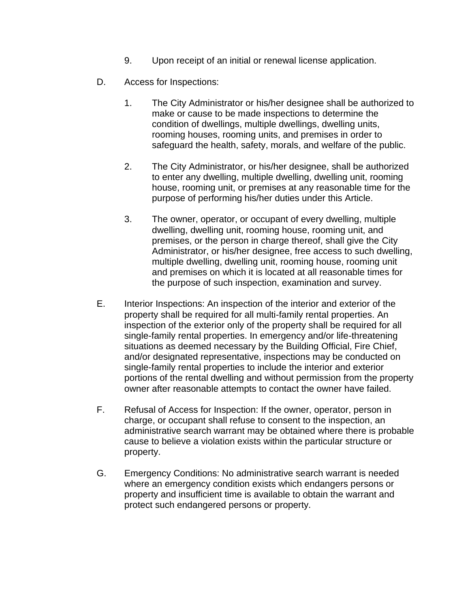- 9. Upon receipt of an initial or renewal license application.
- D. Access for Inspections:
	- 1. The City Administrator or his/her designee shall be authorized to make or cause to be made inspections to determine the condition of dwellings, multiple dwellings, dwelling units, rooming houses, rooming units, and premises in order to safeguard the health, safety, morals, and welfare of the public.
	- 2. The City Administrator, or his/her designee, shall be authorized to enter any dwelling, multiple dwelling, dwelling unit, rooming house, rooming unit, or premises at any reasonable time for the purpose of performing his/her duties under this Article.
	- 3. The owner, operator, or occupant of every dwelling, multiple dwelling, dwelling unit, rooming house, rooming unit, and premises, or the person in charge thereof, shall give the City Administrator, or his/her designee, free access to such dwelling, multiple dwelling, dwelling unit, rooming house, rooming unit and premises on which it is located at all reasonable times for the purpose of such inspection, examination and survey.
- E. Interior Inspections: An inspection of the interior and exterior of the property shall be required for all multi-family rental properties. An inspection of the exterior only of the property shall be required for all single-family rental properties. In emergency and/or life-threatening situations as deemed necessary by the Building Official, Fire Chief, and/or designated representative, inspections may be conducted on single-family rental properties to include the interior and exterior portions of the rental dwelling and without permission from the property owner after reasonable attempts to contact the owner have failed.
- F. Refusal of Access for Inspection: If the owner, operator, person in charge, or occupant shall refuse to consent to the inspection, an administrative search warrant may be obtained where there is probable cause to believe a violation exists within the particular structure or property.
- G. Emergency Conditions: No administrative search warrant is needed where an emergency condition exists which endangers persons or property and insufficient time is available to obtain the warrant and protect such endangered persons or property.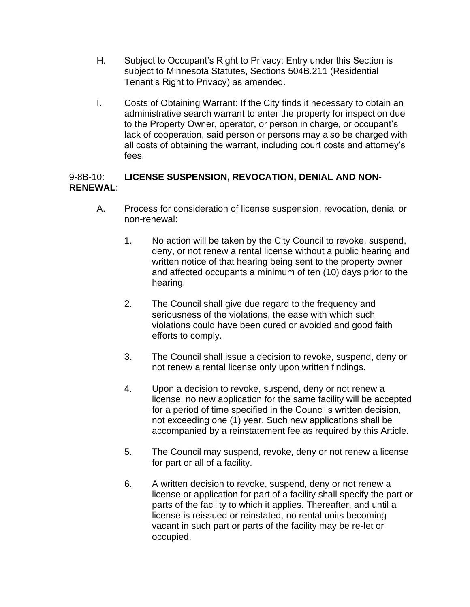- H. Subject to Occupant's Right to Privacy: Entry under this Section is subject to Minnesota Statutes, Sections 504B.211 (Residential Tenant's Right to Privacy) as amended.
- I. Costs of Obtaining Warrant: If the City finds it necessary to obtain an administrative search warrant to enter the property for inspection due to the Property Owner, operator, or person in charge, or occupant's lack of cooperation, said person or persons may also be charged with all costs of obtaining the warrant, including court costs and attorney's fees.

### 9-8B-10: **LICENSE SUSPENSION, REVOCATION, DENIAL AND NON-RENEWAL**:

- A. Process for consideration of license suspension, revocation, denial or non-renewal:
	- 1. No action will be taken by the City Council to revoke, suspend, deny, or not renew a rental license without a public hearing and written notice of that hearing being sent to the property owner and affected occupants a minimum of ten (10) days prior to the hearing.
	- 2. The Council shall give due regard to the frequency and seriousness of the violations, the ease with which such violations could have been cured or avoided and good faith efforts to comply.
	- 3. The Council shall issue a decision to revoke, suspend, deny or not renew a rental license only upon written findings.
	- 4. Upon a decision to revoke, suspend, deny or not renew a license, no new application for the same facility will be accepted for a period of time specified in the Council's written decision, not exceeding one (1) year. Such new applications shall be accompanied by a reinstatement fee as required by this Article.
	- 5. The Council may suspend, revoke, deny or not renew a license for part or all of a facility.
	- 6. A written decision to revoke, suspend, deny or not renew a license or application for part of a facility shall specify the part or parts of the facility to which it applies. Thereafter, and until a license is reissued or reinstated, no rental units becoming vacant in such part or parts of the facility may be re-let or occupied.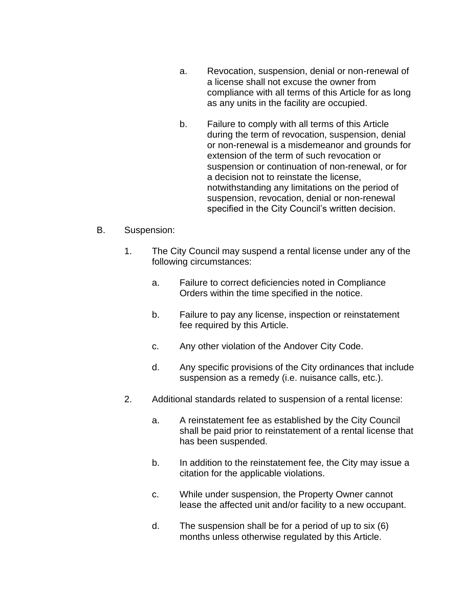- a. Revocation, suspension, denial or non-renewal of a license shall not excuse the owner from compliance with all terms of this Article for as long as any units in the facility are occupied.
- b. Failure to comply with all terms of this Article during the term of revocation, suspension, denial or non-renewal is a misdemeanor and grounds for extension of the term of such revocation or suspension or continuation of non-renewal, or for a decision not to reinstate the license, notwithstanding any limitations on the period of suspension, revocation, denial or non-renewal specified in the City Council's written decision.

### B. Suspension:

- 1. The City Council may suspend a rental license under any of the following circumstances:
	- a. Failure to correct deficiencies noted in Compliance Orders within the time specified in the notice.
	- b. Failure to pay any license, inspection or reinstatement fee required by this Article.
	- c. Any other violation of the Andover City Code.
	- d. Any specific provisions of the City ordinances that include suspension as a remedy (i.e. nuisance calls, etc.).
- 2. Additional standards related to suspension of a rental license:
	- a. A reinstatement fee as established by the City Council shall be paid prior to reinstatement of a rental license that has been suspended.
	- b. In addition to the reinstatement fee, the City may issue a citation for the applicable violations.
	- c. While under suspension, the Property Owner cannot lease the affected unit and/or facility to a new occupant.
	- d. The suspension shall be for a period of up to six (6) months unless otherwise regulated by this Article.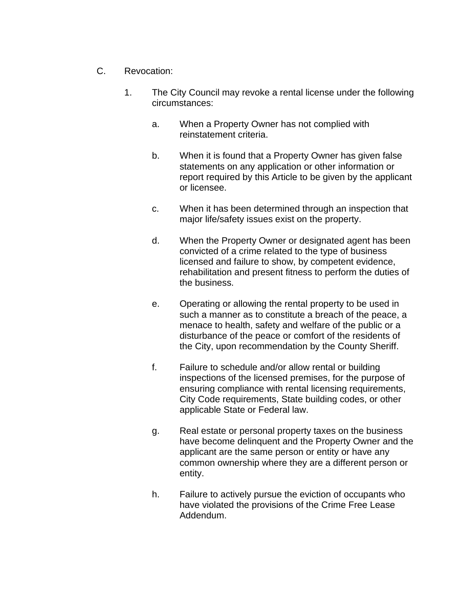- C. Revocation:
	- 1. The City Council may revoke a rental license under the following circumstances:
		- a. When a Property Owner has not complied with reinstatement criteria.
		- b. When it is found that a Property Owner has given false statements on any application or other information or report required by this Article to be given by the applicant or licensee.
		- c. When it has been determined through an inspection that major life/safety issues exist on the property.
		- d. When the Property Owner or designated agent has been convicted of a crime related to the type of business licensed and failure to show, by competent evidence, rehabilitation and present fitness to perform the duties of the business.
		- e. Operating or allowing the rental property to be used in such a manner as to constitute a breach of the peace, a menace to health, safety and welfare of the public or a disturbance of the peace or comfort of the residents of the City, upon recommendation by the County Sheriff.
		- f. Failure to schedule and/or allow rental or building inspections of the licensed premises, for the purpose of ensuring compliance with rental licensing requirements, City Code requirements, State building codes, or other applicable State or Federal law.
		- g. Real estate or personal property taxes on the business have become delinquent and the Property Owner and the applicant are the same person or entity or have any common ownership where they are a different person or entity.
		- h. Failure to actively pursue the eviction of occupants who have violated the provisions of the Crime Free Lease Addendum.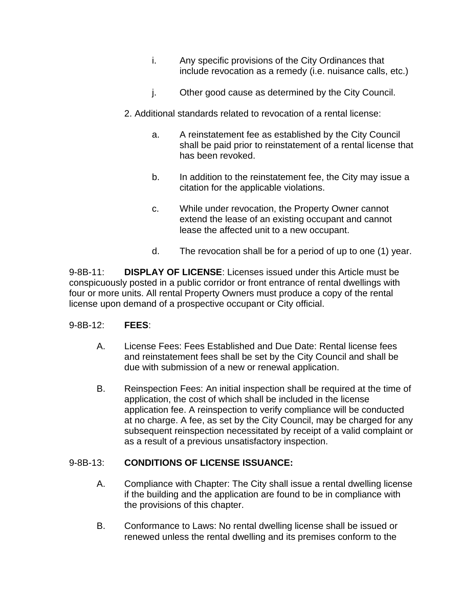- i. Any specific provisions of the City Ordinances that include revocation as a remedy (i.e. nuisance calls, etc.)
- j. Other good cause as determined by the City Council.
- 2. Additional standards related to revocation of a rental license:
	- a. A reinstatement fee as established by the City Council shall be paid prior to reinstatement of a rental license that has been revoked.
	- b. In addition to the reinstatement fee, the City may issue a citation for the applicable violations.
	- c. While under revocation, the Property Owner cannot extend the lease of an existing occupant and cannot lease the affected unit to a new occupant.
	- d. The revocation shall be for a period of up to one (1) year.

9-8B-11: **DISPLAY OF LICENSE**: Licenses issued under this Article must be conspicuously posted in a public corridor or front entrance of rental dwellings with four or more units. All rental Property Owners must produce a copy of the rental license upon demand of a prospective occupant or City official.

### 9-8B-12: **FEES**:

- A. License Fees: Fees Established and Due Date: Rental license fees and reinstatement fees shall be set by the City Council and shall be due with submission of a new or renewal application.
- B. Reinspection Fees: An initial inspection shall be required at the time of application, the cost of which shall be included in the license application fee. A reinspection to verify compliance will be conducted at no charge. A fee, as set by the City Council, may be charged for any subsequent reinspection necessitated by receipt of a valid complaint or as a result of a previous unsatisfactory inspection.

### 9-8B-13: **CONDITIONS OF LICENSE ISSUANCE:**

- A. Compliance with Chapter: The City shall issue a rental dwelling license if the building and the application are found to be in compliance with the provisions of this chapter.
- B. Conformance to Laws: No rental dwelling license shall be issued or renewed unless the rental dwelling and its premises conform to the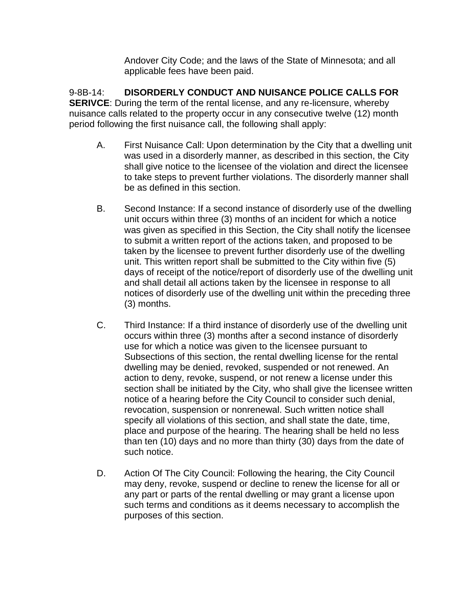Andover City Code; and the laws of the State of Minnesota; and all applicable fees have been paid.

9-8B-14: **DISORDERLY CONDUCT AND NUISANCE POLICE CALLS FOR SERIVCE:** During the term of the rental license, and any re-licensure, whereby nuisance calls related to the property occur in any consecutive twelve (12) month period following the first nuisance call, the following shall apply:

- A. First Nuisance Call: Upon determination by the City that a dwelling unit was used in a disorderly manner, as described in this section, the City shall give notice to the licensee of the violation and direct the licensee to take steps to prevent further violations. The disorderly manner shall be as defined in this section.
- B. Second Instance: If a second instance of disorderly use of the dwelling unit occurs within three (3) months of an incident for which a notice was given as specified in this Section, the City shall notify the licensee to submit a written report of the actions taken, and proposed to be taken by the licensee to prevent further disorderly use of the dwelling unit. This written report shall be submitted to the City within five (5) days of receipt of the notice/report of disorderly use of the dwelling unit and shall detail all actions taken by the licensee in response to all notices of disorderly use of the dwelling unit within the preceding three (3) months.
- C. Third Instance: If a third instance of disorderly use of the dwelling unit occurs within three (3) months after a second instance of disorderly use for which a notice was given to the licensee pursuant to Subsections of this section, the rental dwelling license for the rental dwelling may be denied, revoked, suspended or not renewed. An action to deny, revoke, suspend, or not renew a license under this section shall be initiated by the City, who shall give the licensee written notice of a hearing before the City Council to consider such denial, revocation, suspension or nonrenewal. Such written notice shall specify all violations of this section, and shall state the date, time, place and purpose of the hearing. The hearing shall be held no less than ten (10) days and no more than thirty (30) days from the date of such notice.
- D. Action Of The City Council: Following the hearing, the City Council may deny, revoke, suspend or decline to renew the license for all or any part or parts of the rental dwelling or may grant a license upon such terms and conditions as it deems necessary to accomplish the purposes of this section.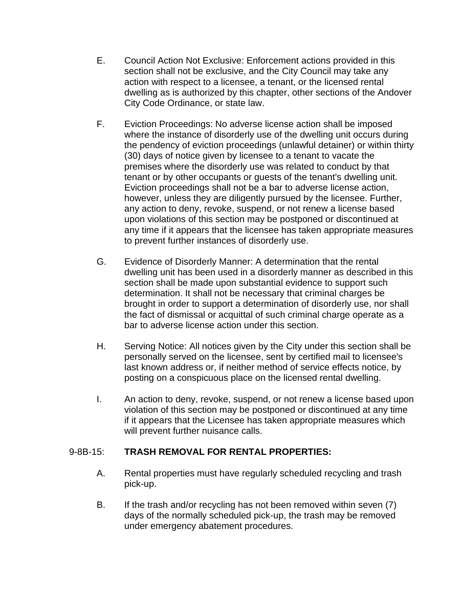- E. Council Action Not Exclusive: Enforcement actions provided in this section shall not be exclusive, and the City Council may take any action with respect to a licensee, a tenant, or the licensed rental dwelling as is authorized by this chapter, other sections of the Andover City Code Ordinance, or state law.
- F. Eviction Proceedings: No adverse license action shall be imposed where the instance of disorderly use of the dwelling unit occurs during the pendency of eviction proceedings (unlawful detainer) or within thirty (30) days of notice given by licensee to a tenant to vacate the premises where the disorderly use was related to conduct by that tenant or by other occupants or guests of the tenant's dwelling unit. Eviction proceedings shall not be a bar to adverse license action, however, unless they are diligently pursued by the licensee. Further, any action to deny, revoke, suspend, or not renew a license based upon violations of this section may be postponed or discontinued at any time if it appears that the licensee has taken appropriate measures to prevent further instances of disorderly use.
- G. Evidence of Disorderly Manner: A determination that the rental dwelling unit has been used in a disorderly manner as described in this section shall be made upon substantial evidence to support such determination. It shall not be necessary that criminal charges be brought in order to support a determination of disorderly use, nor shall the fact of dismissal or acquittal of such criminal charge operate as a bar to adverse license action under this section.
- H. Serving Notice: All notices given by the City under this section shall be personally served on the licensee, sent by certified mail to licensee's last known address or, if neither method of service effects notice, by posting on a conspicuous place on the licensed rental dwelling.
- I. An action to deny, revoke, suspend, or not renew a license based upon violation of this section may be postponed or discontinued at any time if it appears that the Licensee has taken appropriate measures which will prevent further nuisance calls.

### 9-8B-15: **TRASH REMOVAL FOR RENTAL PROPERTIES:**

- A. Rental properties must have regularly scheduled recycling and trash pick-up.
- B. If the trash and/or recycling has not been removed within seven (7) days of the normally scheduled pick-up, the trash may be removed under emergency abatement procedures.